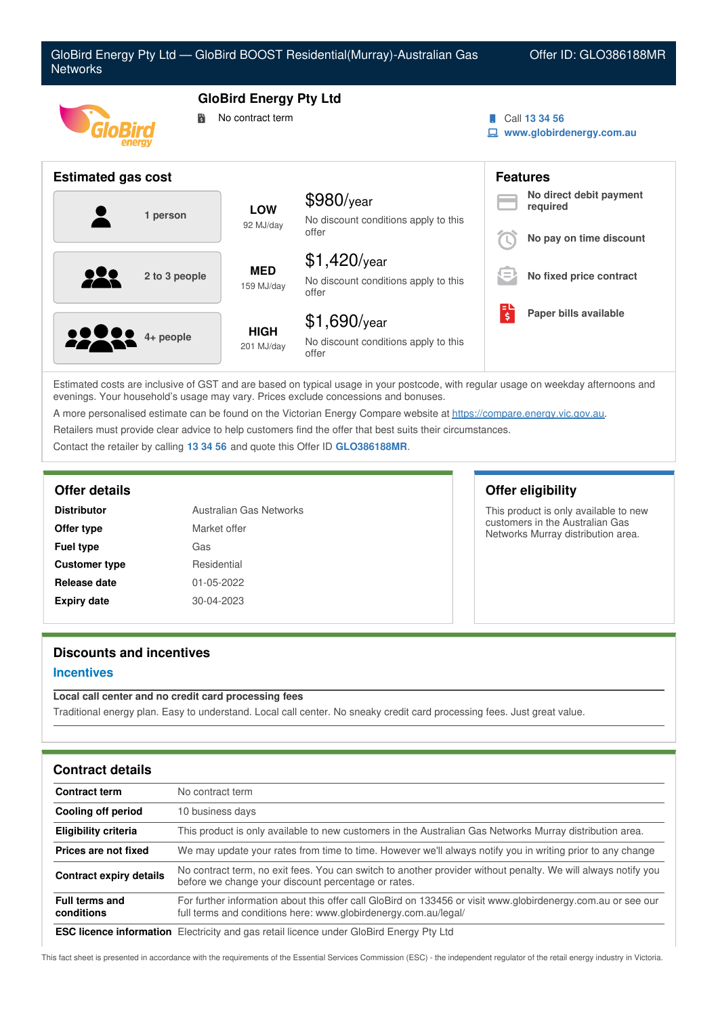| GloBird Energy Pty Ltd - GloBird BOOST Residential(Murray)-Australian Gas<br><b>Networks</b> |                                                   | Offer ID: GLO386188MR                                           |   |                                                                |
|----------------------------------------------------------------------------------------------|---------------------------------------------------|-----------------------------------------------------------------|---|----------------------------------------------------------------|
| 詩                                                                                            | <b>GloBird Energy Pty Ltd</b><br>No contract term |                                                                 |   | Call 13 34 56<br>www.globirdenergy.com.au                      |
| <b>Estimated gas cost</b>                                                                    |                                                   |                                                                 |   | <b>Features</b>                                                |
| 1 person                                                                                     | <b>LOW</b><br>92 MJ/day                           | \$980/year<br>No discount conditions apply to this<br>offer     |   | No direct debit payment<br>required<br>No pay on time discount |
| 2 to 3 people                                                                                | <b>MED</b><br>159 MJ/day                          | $$1,420$ /year<br>No discount conditions apply to this<br>offer |   | No fixed price contract                                        |
| $4+$ people                                                                                  | <b>HIGH</b><br>201 MJ/day                         | $$1,690$ /year<br>No discount conditions apply to this<br>offer | 퇞 | Paper bills available                                          |

Estimated costs are inclusive of GST and are based on typical usage in your postcode, with regular usage on weekday afternoons and evenings. Your household's usage may vary. Prices exclude concessions and bonuses.

A more personalised estimate can be found on the Victorian Energy Compare website at <https://compare.energy.vic.gov.au>.

Retailers must provide clear advice to help customers find the offer that best suits their circumstances.

Contact the retailer by calling **13 34 56** and quote this Offer ID **GLO386188MR**.

| <b>Distributor</b>   | Australian Gas Networks |
|----------------------|-------------------------|
| Offer type           | Market offer            |
| <b>Fuel type</b>     | Gas                     |
| <b>Customer type</b> | Residential             |
| Release date         | 01-05-2022              |
| <b>Expiry date</b>   | 30-04-2023              |

# **Offer details Offer eligibility**

This product is only available to new customers in the Australian Gas Networks Murray distribution area.

# **Discounts and incentives**

## **Incentives**

# **Local call center and no credit card processing fees**

Traditional energy plan. Easy to understand. Local call center. No sneaky credit card processing fees. Just great value.

| <b>Contract details</b>             |                                                                                                                                                                                 |
|-------------------------------------|---------------------------------------------------------------------------------------------------------------------------------------------------------------------------------|
| <b>Contract term</b>                | No contract term                                                                                                                                                                |
| Cooling off period                  | 10 business days                                                                                                                                                                |
| <b>Eligibility criteria</b>         | This product is only available to new customers in the Australian Gas Networks Murray distribution area.                                                                        |
| Prices are not fixed                | We may update your rates from time to time. However we'll always notify you in writing prior to any change                                                                      |
| <b>Contract expiry details</b>      | No contract term, no exit fees. You can switch to another provider without penalty. We will always notify you<br>before we change your discount percentage or rates.            |
| <b>Full terms and</b><br>conditions | For further information about this offer call GloBird on 133456 or visit www.globirdenergy.com.au or see our<br>full terms and conditions here: www.globirdenergy.com.au/legal/ |
|                                     | <b>ESC licence information</b> Electricity and gas rotail licence under GloBird Energy Pty Ltd.                                                                                 |

**ESC licence information** Electricity and gas retail licence under GloBird Energy Pty Ltd

This fact sheet is presented in accordance with the requirements of the Essential Services Commission (ESC) - the independent regulator of the retail energy industry in Victoria.